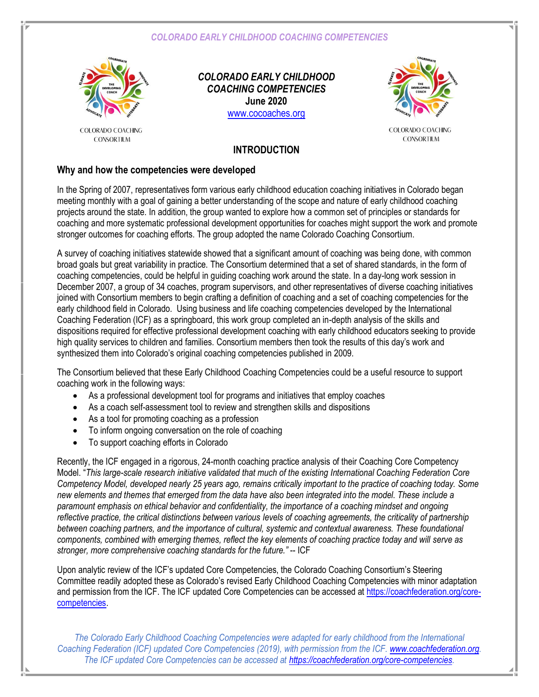*COLORADO EARLY CHILDHOOD COACHING COMPETENCIES*



COLORADO COACHING **CONSORTIUM** 

*COLORADO EARLY CHILDHOOD COACHING COMPETENCIES* **June 2020** [www.cocoaches.org](http://www.cocoaches.org/)



COLORADO COACHING **CONSORTIUM** 

#### **INTRODUCTION**

#### **Why and how the competencies were developed**

In the Spring of 2007, representatives form various early childhood education coaching initiatives in Colorado began meeting monthly with a goal of gaining a better understanding of the scope and nature of early childhood coaching projects around the state. In addition, the group wanted to explore how a common set of principles or standards for coaching and more systematic professional development opportunities for coaches might support the work and promote stronger outcomes for coaching efforts. The group adopted the name Colorado Coaching Consortium.

A survey of coaching initiatives statewide showed that a significant amount of coaching was being done, with common broad goals but great variability in practice. The Consortium determined that a set of shared standards, in the form of coaching competencies, could be helpful in guiding coaching work around the state. In a day-long work session in December 2007, a group of 34 coaches, program supervisors, and other representatives of diverse coaching initiatives joined with Consortium members to begin crafting a definition of coaching and a set of coaching competencies for the early childhood field in Colorado. Using business and life coaching competencies developed by the International Coaching Federation (ICF) as a springboard, this work group completed an in-depth analysis of the skills and dispositions required for effective professional development coaching with early childhood educators seeking to provide high quality services to children and families. Consortium members then took the results of this day's work and synthesized them into Colorado's original coaching competencies published in 2009.

The Consortium believed that these Early Childhood Coaching Competencies could be a useful resource to support coaching work in the following ways:

- As a professional development tool for programs and initiatives that employ coaches
- As a coach self-assessment tool to review and strengthen skills and dispositions
- As a tool for promoting coaching as a profession
- To inform ongoing conversation on the role of coaching
- To support coaching efforts in Colorado

Recently, the ICF engaged in a rigorous, 24-month coaching practice analysis of their Coaching Core Competency Model. "*This large-scale research initiative validated that much of the existing International Coaching Federation Core Competency Model, developed nearly 25 years ago, remains critically important to the practice of coaching today. Some new elements and themes that emerged from the data have also been integrated into the model. These include a paramount emphasis on ethical behavior and confidentiality, the importance of a coaching mindset and ongoing reflective practice, the critical distinctions between various levels of coaching agreements, the criticality of partnership between coaching partners, and the importance of cultural, systemic and contextual awareness. These foundational components, combined with emerging themes, reflect the key elements of coaching practice today and will serve as stronger, more comprehensive coaching standards for the future."* -- ICF

Upon analytic review of the ICF's updated Core Competencies, the Colorado Coaching Consortium's Steering Committee readily adopted these as Colorado's revised Early Childhood Coaching Competencies with minor adaptation and permission from the ICF. The ICF updated Core Competencies can be accessed at [https://coachfederation.org/core](https://coachfederation.org/core-competencies)[competencies.](https://coachfederation.org/core-competencies)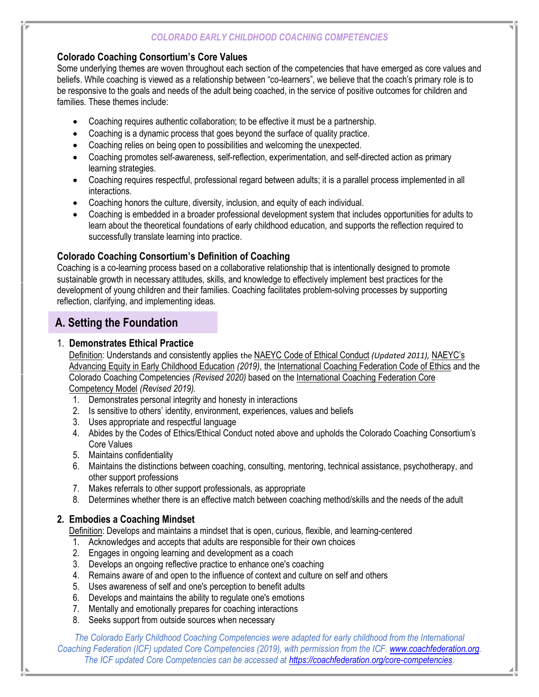#### *COLORADO EARLY CHILDHOOD COACHING COMPETENCIES*

#### **Colorado Coaching Consortium's Core Values**

Some underlying themes are woven throughout each section of the competencies that have emerged as core values and beliefs. While coaching is viewed as a relationship between "co-learners", we believe that the coach's primary role is to be responsive to the goals and needs of the adult being coached, in the service of positive outcomes for children and families. These themes include:

- Coaching requires authentic collaboration; to be effective it must be a partnership.
- Coaching is a dynamic process that goes beyond the surface of quality practice.
- Coaching relies on being open to possibilities and welcoming the unexpected.
- Coaching promotes self-awareness, self-reflection, experimentation, and self-directed action as primary learning strategies.
- Coaching requires respectful, professional regard between adults; it is a parallel process implemented in all interactions.
- Coaching honors the culture, diversity, inclusion, and equity of each individual.
- Coaching is embedded in a broader professional development system that includes opportunities for adults to learn about the theoretical foundations of early childhood education, and supports the reflection required to successfully translate learning into practice.

### **Colorado Coaching Consortium's Definition of Coaching**

Coaching is a co-learning process based on a collaborative relationship that is intentionally designed to promote sustainable growth in necessary attitudes, skills, and knowledge to effectively implement best practices for the development of young children and their families. Coaching facilitates problem-solving processes by supporting reflection, clarifying, and implementing ideas.

## **A. Setting the Foundation**

#### 1. **Demonstrates Ethical Practice**

Definition: Understands and consistently applies the [NAEYC Code of Ethical Conduct](https://www.naeyc.org/sites/default/files/globally-shared/downloads/PDFs/resources/position-statements/Ethics%20Position%20Statement2011_09202013update.pdf) *(Updated 2011),* [NAEYC](https://www.naeyc.org/sites/default/files/globally-shared/downloads/PDFs/resources/position-statements/naeycadvancingequitypositionstatement.pdf)'s [Advancing Equity in Early Childhood Education](https://www.naeyc.org/sites/default/files/globally-shared/downloads/PDFs/resources/position-statements/naeycadvancingequitypositionstatement.pdf) *(2019)*, the International [Coaching Federation](https://coachfederation.org/app/uploads/2020/01/ICF-Code-of-Ethics_final_Nov12.pdf) Code of Ethics and the Colorado Coaching Competencies *(Revised 2020)* based on th[e International Coaching Federation Core](https://coachfederation.org/app/uploads/2019/11/ICFCompetencyModel_Oct2019.pdf)  [Competency Model](https://coachfederation.org/app/uploads/2019/11/ICFCompetencyModel_Oct2019.pdf) *(Revised 2019).*

- 1. Demonstrates personal integrity and honesty in interactions
- 2. Is sensitive to others' identity, environment, experiences, values and beliefs
- 3. Uses appropriate and respectful language
- 4. Abides by the Codes of Ethics/Ethical Conduct noted above and upholds the Colorado Coaching Consortium's Core Values
- 5. Maintains confidentiality
- 6. Maintains the distinctions between coaching, consulting, mentoring, technical assistance, psychotherapy, and other support professions
- 7. Makes referrals to other support professionals, as appropriate
- 8. Determines whether there is an effective match between coaching method/skills and the needs of the adult

### **2. Embodies a Coaching Mindset**

Definition: Develops and maintains a mindset that is open, curious, flexible, and learning-centered

- 1. Acknowledges and accepts that adults are responsible for their own choices
- 2. Engages in ongoing learning and development as a coach
- 3. Develops an ongoing reflective practice to enhance one's coaching
- 4. Remains aware of and open to the influence of context and culture on self and others
- 5. Uses awareness of self and one's perception to benefit adults
- 6. Develops and maintains the ability to regulate one's emotions
- 7. Mentally and emotionally prepares for coaching interactions
- 8. Seeks support from outside sources when necessary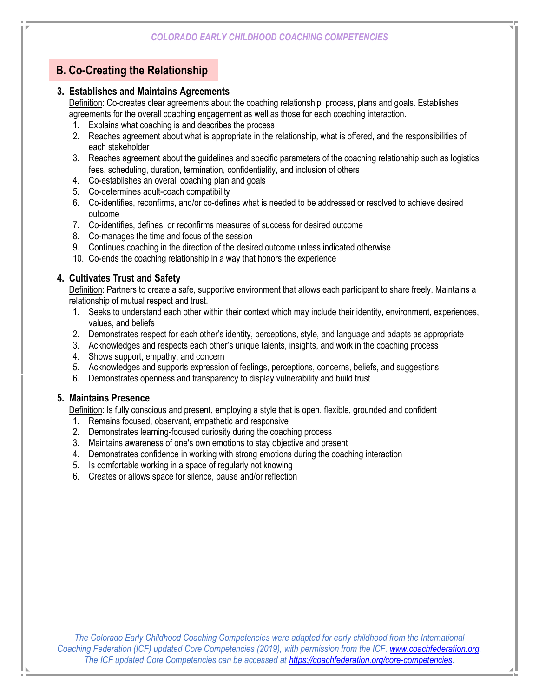# **B. Co-Creating the Relationship**

#### **3. Establishes and Maintains Agreements**

Definition: Co-creates clear agreements about the coaching relationship, process, plans and goals. Establishes agreements for the overall coaching engagement as well as those for each coaching interaction.

- 1. Explains what coaching is and describes the process
- 2. Reaches agreement about what is appropriate in the relationship, what is offered, and the responsibilities of each stakeholder
- 3. Reaches agreement about the guidelines and specific parameters of the coaching relationship such as logistics, fees, scheduling, duration, termination, confidentiality, and inclusion of others
- 4. Co-establishes an overall coaching plan and goals
- 5. Co-determines adult-coach compatibility
- 6. Co-identifies, reconfirms, and/or co-defines what is needed to be addressed or resolved to achieve desired outcome
- 7. Co-identifies, defines, or reconfirms measures of success for desired outcome
- 8. Co-manages the time and focus of the session
- 9. Continues coaching in the direction of the desired outcome unless indicated otherwise
- 10. Co-ends the coaching relationship in a way that honors the experience

#### **4. Cultivates Trust and Safety**

Definition: Partners to create a safe, supportive environment that allows each participant to share freely. Maintains a relationship of mutual respect and trust.

- 1. Seeks to understand each other within their context which may include their identity, environment, experiences, values, and beliefs
- 2. Demonstrates respect for each other's identity, perceptions, style, and language and adapts as appropriate
- 3. Acknowledges and respects each other's unique talents, insights, and work in the coaching process
- 4. Shows support, empathy, and concern
- 5. Acknowledges and supports expression of feelings, perceptions, concerns, beliefs, and suggestions
- 6. Demonstrates openness and transparency to display vulnerability and build trust

#### **5. Maintains Presence**

Definition: Is fully conscious and present, employing a style that is open, flexible, grounded and confident

- 1. Remains focused, observant, empathetic and responsive
- 2. Demonstrates learning-focused curiosity during the coaching process
- 3. Maintains awareness of one's own emotions to stay objective and present
- 4. Demonstrates confidence in working with strong emotions during the coaching interaction
- 5. Is comfortable working in a space of regularly not knowing
- 6. Creates or allows space for silence, pause and/or reflection